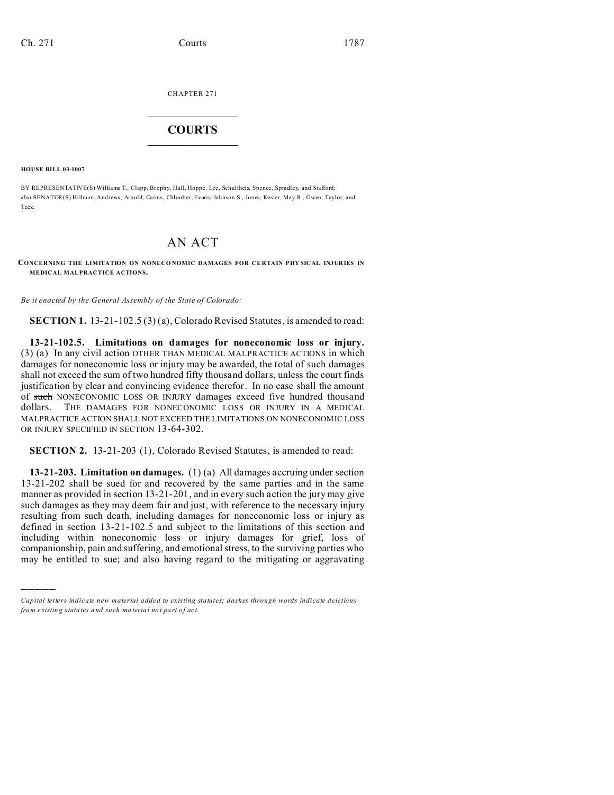CHAPTER 271  $\overline{\phantom{a}}$  , where  $\overline{\phantom{a}}$ 

## **COURTS**  $\_$

**HOUSE BILL 03-1007**

)))))

BY REPRESENTATIVE(S) Williams T., Clapp, Brophy, Hall, Hoppe, Lee, Schultheis, Spence, Spradley, and Stafford; also SENATOR(S) Hillman, Andrews, Arnold, Cairns, Chlouber, Evans, Johnson S., Jones, Kester, May R., Owen, Taylor, and Teck.

## AN ACT

**CONCERNING THE LIMITATION ON NONECO NOMIC DAMAGES FOR CE RTAIN P HY SICAL INJURIES IN MEDICAL MALPRACTICE ACTIONS.**

*Be it enacted by the General Assembly of the State of Colorado:*

**SECTION 1.** 13-21-102.5 (3) (a), Colorado Revised Statutes, is amended to read:

**13-21-102.5. Limitations on damages for noneconomic loss or injury.** (3) (a) In any civil action OTHER THAN MEDICAL MALPRACTICE ACTIONS in which damages for noneconomic loss or injury may be awarded, the total of such damages shall not exceed the sum of two hundred fifty thousand dollars, unless the court finds justification by clear and convincing evidence therefor. In no case shall the amount of such NONECONOMIC LOSS OR INJURY damages exceed five hundred thousand dollars. THE DAMAGES FOR NONECONOMIC LOSS OR INJURY IN A MEDICAL MALPRACTICE ACTION SHALL NOT EXCEED THE LIMITATIONS ON NONECONOMIC LOSS OR INJURY SPECIFIED IN SECTION 13-64-302.

**SECTION 2.** 13-21-203 (1), Colorado Revised Statutes, is amended to read:

**13-21-203. Limitation on damages.** (1) (a) All damages accruing under section 13-21-202 shall be sued for and recovered by the same parties and in the same manner as provided in section 13-21-201, and in every such action the jury may give such damages as they may deem fair and just, with reference to the necessary injury resulting from such death, including damages for noneconomic loss or injury as defined in section 13-21-102.5 and subject to the limitations of this section and including within noneconomic loss or injury damages for grief, loss of companionship, pain and suffering, and emotional stress, to the surviving parties who may be entitled to sue; and also having regard to the mitigating or aggravating

*Capital letters indicate new material added to existing statutes; dashes through words indicate deletions from e xistin g statu tes a nd such ma teria l no t pa rt of ac t.*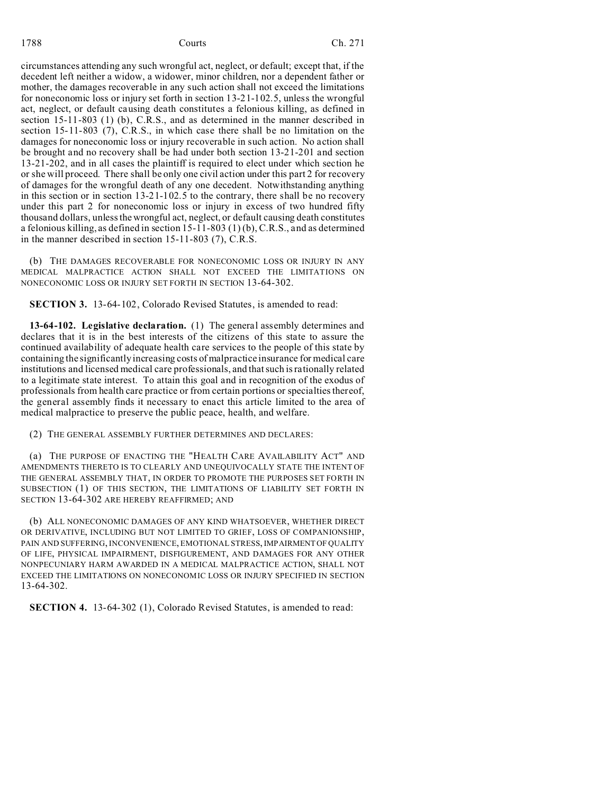## 1788 **Courts** Courts **Countillation** Ch. 271

circumstances attending any such wrongful act, neglect, or default; except that, if the decedent left neither a widow, a widower, minor children, nor a dependent father or mother, the damages recoverable in any such action shall not exceed the limitations for noneconomic loss or injury set forth in section 13-21-102.5, unless the wrongful act, neglect, or default causing death constitutes a felonious killing, as defined in section 15-11-803 (1) (b), C.R.S., and as determined in the manner described in section 15-11-803 (7), C.R.S., in which case there shall be no limitation on the damages for noneconomic loss or injury recoverable in such action. No action shall be brought and no recovery shall be had under both section 13-21-201 and section 13-21-202, and in all cases the plaintiff is required to elect under which section he or she will proceed. There shall be only one civil action under this part 2 for recovery of damages for the wrongful death of any one decedent. Notwithstanding anything in this section or in section 13-21-102.5 to the contrary, there shall be no recovery under this part 2 for noneconomic loss or injury in excess of two hundred fifty thousand dollars, unless the wrongful act, neglect, or default causing death constitutes a felonious killing, as defined in section 15-11-803 (1) (b), C.R.S., and as determined in the manner described in section 15-11-803 (7), C.R.S.

(b) THE DAMAGES RECOVERABLE FOR NONECONOMIC LOSS OR INJURY IN ANY MEDICAL MALPRACTICE ACTION SHALL NOT EXCEED THE LIMITATIONS ON NONECONOMIC LOSS OR INJURY SET FORTH IN SECTION 13-64-302.

**SECTION 3.** 13-64-102, Colorado Revised Statutes, is amended to read:

**13-64-102. Legislative declaration.** (1) The general assembly determines and declares that it is in the best interests of the citizens of this state to assure the continued availability of adequate health care services to the people of this state by containing the significantly increasing costs of malpractice insurance for medical care institutions and licensed medical care professionals, and that such is rationally related to a legitimate state interest. To attain this goal and in recognition of the exodus of professionals from health care practice or from certain portions or specialties thereof, the general assembly finds it necessary to enact this article limited to the area of medical malpractice to preserve the public peace, health, and welfare.

(2) THE GENERAL ASSEMBLY FURTHER DETERMINES AND DECLARES:

(a) THE PURPOSE OF ENACTING THE "HEALTH CARE AVAILABILITY ACT" AND AMENDMENTS THERETO IS TO CLEARLY AND UNEQUIVOCALLY STATE THE INTENT OF THE GENERAL ASSEMBLY THAT, IN ORDER TO PROMOTE THE PURPOSES SET FORTH IN SUBSECTION (1) OF THIS SECTION, THE LIMITATIONS OF LIABILITY SET FORTH IN SECTION 13-64-302 ARE HEREBY REAFFIRMED; AND

(b) ALL NONECONOMIC DAMAGES OF ANY KIND WHATSOEVER, WHETHER DIRECT OR DERIVATIVE, INCLUDING BUT NOT LIMITED TO GRIEF, LOSS OF COMPANIONSHIP, PAIN AND SUFFERING, INCONVENIENCE, EMOTIONAL STRESS, IMPAIRMENT OF QUALITY OF LIFE, PHYSICAL IMPAIRMENT, DISFIGUREMENT, AND DAMAGES FOR ANY OTHER NONPECUNIARY HARM AWARDED IN A MEDICAL MALPRACTICE ACTION, SHALL NOT EXCEED THE LIMITATIONS ON NONECONOMIC LOSS OR INJURY SPECIFIED IN SECTION 13-64-302.

**SECTION 4.** 13-64-302 (1), Colorado Revised Statutes, is amended to read: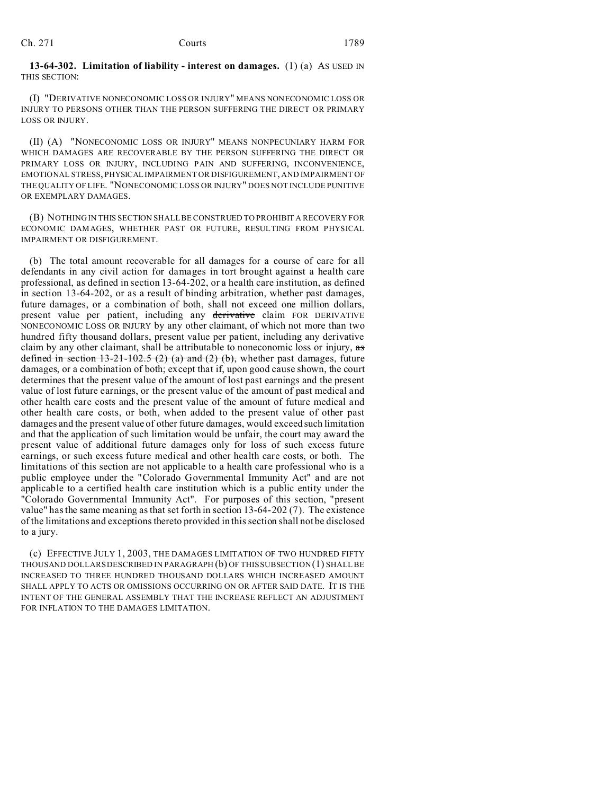**13-64-302. Limitation of liability - interest on damages.** (1) (a) AS USED IN THIS SECTION:

(I) "DERIVATIVE NONECONOMIC LOSS OR INJURY" MEANS NONECONOMIC LOSS OR INJURY TO PERSONS OTHER THAN THE PERSON SUFFERING THE DIRECT OR PRIMARY LOSS OR INJURY.

(II) (A) "NONECONOMIC LOSS OR INJURY" MEANS NONPECUNIARY HARM FOR WHICH DAMAGES ARE RECOVERABLE BY THE PERSON SUFFERING THE DIRECT OR PRIMARY LOSS OR INJURY, INCLUDING PAIN AND SUFFERING, INCONVENIENCE, EMOTIONAL STRESS, PHYSICAL IMPAIRMENT OR DISFIGUREMENT, AND IMPAIRMENT OF THE QUALITY OF LIFE. "NONECONOMIC LOSS OR INJURY" DOES NOT INCLUDE PUNITIVE OR EXEMPLARY DAMAGES.

(B) NOTHING IN THIS SECTION SHALL BE CONSTRUED TO PROHIBIT A RECOVERY FOR ECONOMIC DAMAGES, WHETHER PAST OR FUTURE, RESULTING FROM PHYSICAL IMPAIRMENT OR DISFIGUREMENT.

(b) The total amount recoverable for all damages for a course of care for all defendants in any civil action for damages in tort brought against a health care professional, as defined in section 13-64-202, or a health care institution, as defined in section 13-64-202, or as a result of binding arbitration, whether past damages, future damages, or a combination of both, shall not exceed one million dollars, present value per patient, including any derivative claim FOR DERIVATIVE NONECONOMIC LOSS OR INJURY by any other claimant, of which not more than two hundred fifty thousand dollars, present value per patient, including any derivative claim by any other claimant, shall be attributable to noneconomic loss or injury, as defined in section 13-21-102.5 (2) (a) and (2) (b), whether past damages, future damages, or a combination of both; except that if, upon good cause shown, the court determines that the present value of the amount of lost past earnings and the present value of lost future earnings, or the present value of the amount of past medical and other health care costs and the present value of the amount of future medical and other health care costs, or both, when added to the present value of other past damages and the present value of other future damages, would exceed such limitation and that the application of such limitation would be unfair, the court may award the present value of additional future damages only for loss of such excess future earnings, or such excess future medical and other health care costs, or both. The limitations of this section are not applicable to a health care professional who is a public employee under the "Colorado Governmental Immunity Act" and are not applicable to a certified health care institution which is a public entity under the "Colorado Governmental Immunity Act". For purposes of this section, "present value" has the same meaning as that set forth in section 13-64-202 (7). The existence of the limitations and exceptions thereto provided in this section shall not be disclosed to a jury.

(c) EFFECTIVE JULY 1, 2003, THE DAMAGES LIMITATION OF TWO HUNDRED FIFTY THOUSAND DOLLARS DESCRIBED IN PARAGRAPH (b) OF THIS SUBSECTION (1) SHALL BE INCREASED TO THREE HUNDRED THOUSAND DOLLARS WHICH INCREASED AMOUNT SHALL APPLY TO ACTS OR OMISSIONS OCCURRING ON OR AFTER SAID DATE. IT IS THE INTENT OF THE GENERAL ASSEMBLY THAT THE INCREASE REFLECT AN ADJUSTMENT FOR INFLATION TO THE DAMAGES LIMITATION.